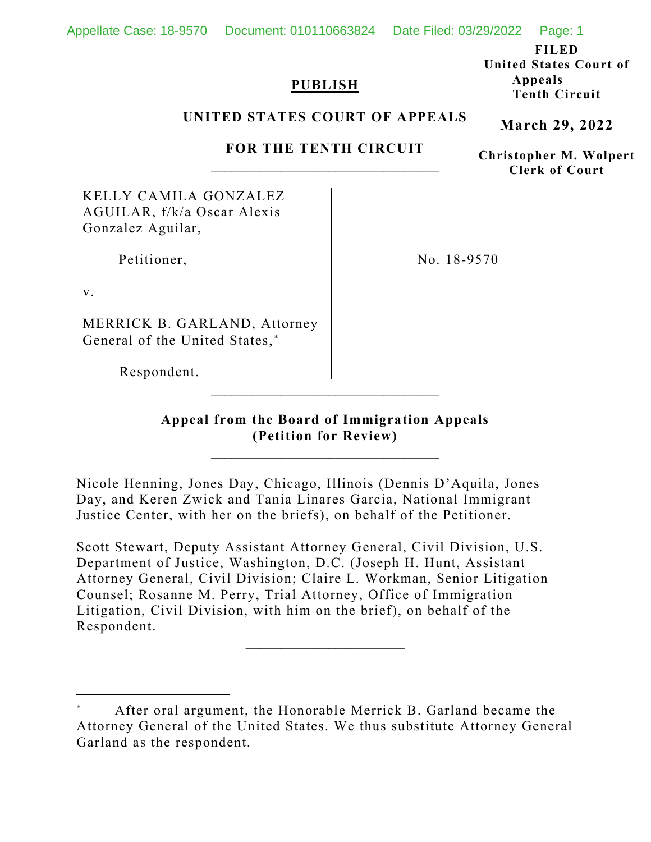Appellate Case: 18-9570 Document: 010110663824 Date Filed: 03/29/2022 Page: 1

**FILED**

# **PUBLISH**

**United States Court of Appeals Tenth Circuit**

### **UNITED STATES COURT OF APPEALS**

# **FOR THE TENTH CIRCUIT**  $\overline{\phantom{a}}$  , where  $\overline{\phantom{a}}$  , where  $\overline{\phantom{a}}$  ,  $\overline{\phantom{a}}$  ,  $\overline{\phantom{a}}$  ,  $\overline{\phantom{a}}$  ,  $\overline{\phantom{a}}$  ,  $\overline{\phantom{a}}$  ,  $\overline{\phantom{a}}$  ,  $\overline{\phantom{a}}$  ,  $\overline{\phantom{a}}$  ,  $\overline{\phantom{a}}$  ,  $\overline{\phantom{a}}$  ,  $\overline{\phantom{a}}$  ,  $\overline{\phantom{a}}$  ,

KELLY CAMILA GONZALEZ AGUILAR, f/k/a Oscar Alexis Gonzalez Aguilar,

Petitioner,

No. 18-9570

v.

MERRICK B. GARLAND, Attorney General of the United States,\*

Respondent.

**Appeal from the Board of Immigration Appeals (Petition for Review)**

 $\overline{\phantom{a}}$  , where  $\overline{\phantom{a}}$  , where  $\overline{\phantom{a}}$  ,  $\overline{\phantom{a}}$  ,  $\overline{\phantom{a}}$  ,  $\overline{\phantom{a}}$  ,  $\overline{\phantom{a}}$  ,  $\overline{\phantom{a}}$  ,  $\overline{\phantom{a}}$  ,  $\overline{\phantom{a}}$  ,  $\overline{\phantom{a}}$  ,  $\overline{\phantom{a}}$  ,  $\overline{\phantom{a}}$  ,  $\overline{\phantom{a}}$  ,  $\overline{\phantom{a}}$  ,

\_\_\_\_\_\_\_\_\_\_\_\_\_\_\_\_\_\_\_\_\_\_\_\_\_\_\_\_\_\_\_\_\_

Nicole Henning, Jones Day, Chicago, Illinois (Dennis D'Aquila, Jones Day, and Keren Zwick and Tania Linares Garcia, National Immigrant Justice Center, with her on the briefs), on behalf of the Petitioner.

Scott Stewart, Deputy Assistant Attorney General, Civil Division, U.S. Department of Justice, Washington, D.C. (Joseph H. Hunt, Assistant Attorney General, Civil Division; Claire L. Workman, Senior Litigation Counsel; Rosanne M. Perry, Trial Attorney, Office of Immigration Litigation, Civil Division, with him on the brief), on behalf of the Respondent.

 $\overline{\phantom{a}}$  , where  $\overline{\phantom{a}}$ 

**March 29, 2022**

**Christopher M. Wolpert Clerk of Court**

<span id="page-0-0"></span>After oral argument, the Honorable Merrick B. Garland became the Attorney General of the United States. We thus substitute Attorney General Garland as the respondent.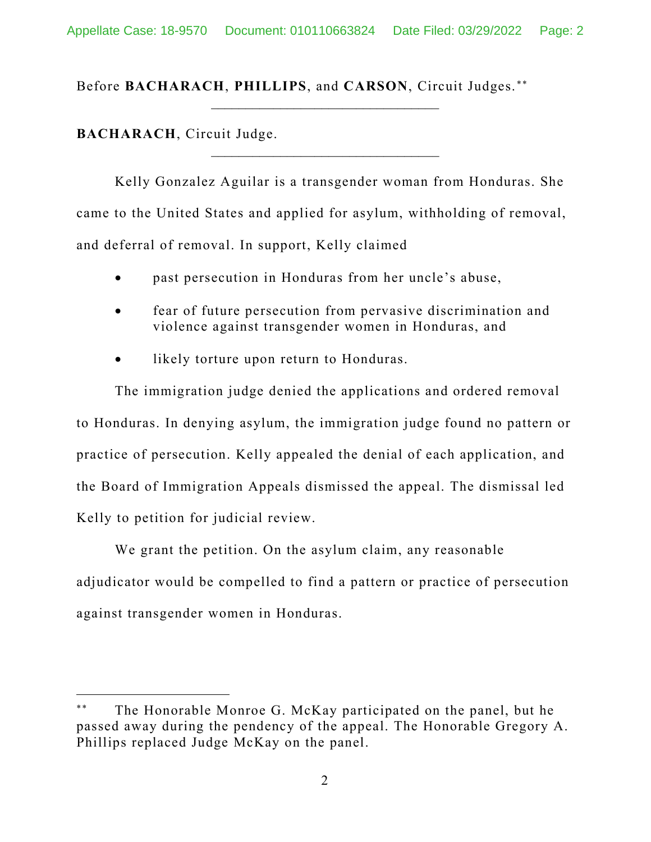\_\_\_\_\_\_\_\_\_\_\_\_\_\_\_\_\_\_\_\_\_\_\_\_\_\_\_\_\_\_\_\_\_

\_\_\_\_\_\_\_\_\_\_\_\_\_\_\_\_\_\_\_\_\_\_\_\_\_\_\_\_\_\_\_\_\_

Before **BACHARACH**, **PHILLIPS**, and **CARSON**, Circuit Judges. [∗∗](#page-1-0)

**BACHARACH**, Circuit Judge.

Kelly Gonzalez Aguilar is a transgender woman from Honduras. She came to the United States and applied for asylum, withholding of removal, and deferral of removal. In support, Kelly claimed

- past persecution in Honduras from her uncle's abuse,
- fear of future persecution from pervasive discrimination and violence against transgender women in Honduras, and
- likely torture upon return to Honduras.

The immigration judge denied the applications and ordered removal to Honduras. In denying asylum, the immigration judge found no pattern or practice of persecution. Kelly appealed the denial of each application, and the Board of Immigration Appeals dismissed the appeal. The dismissal led Kelly to petition for judicial review.

We grant the petition. On the asylum claim, any reasonable adjudicator would be compelled to find a pattern or practice of persecution against transgender women in Honduras.

<span id="page-1-0"></span>The Honorable Monroe G. McKay participated on the panel, but he passed away during the pendency of the appeal. The Honorable Gregory A. Phillips replaced Judge McKay on the panel.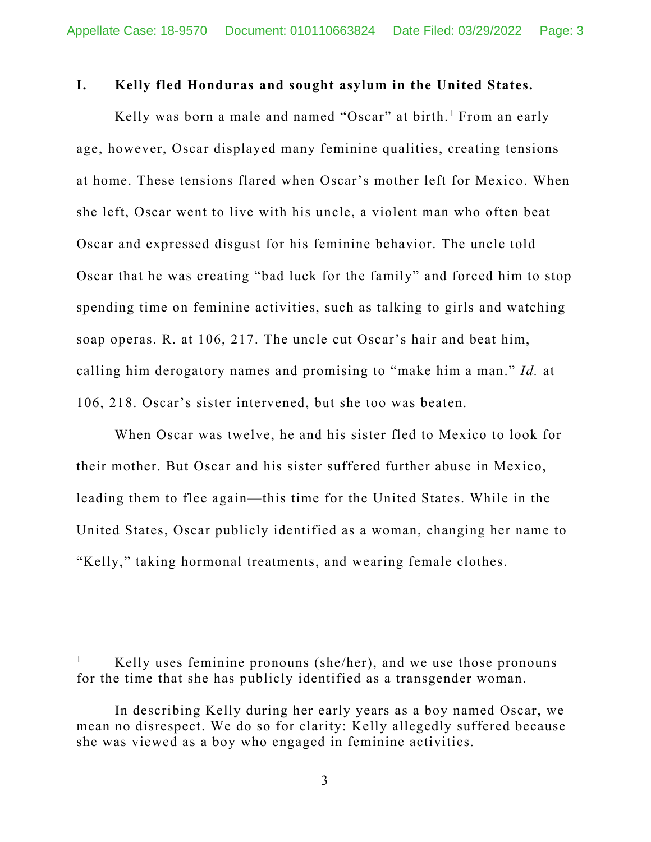#### **I. Kelly fled Honduras and sought asylum in the United States.**

Kelly was born a male and named "Oscar" at birth.<sup>[1](#page-2-0)</sup> From an early age, however, Oscar displayed many feminine qualities, creating tensions at home. These tensions flared when Oscar's mother left for Mexico. When she left, Oscar went to live with his uncle, a violent man who often beat Oscar and expressed disgust for his feminine behavior. The uncle told Oscar that he was creating "bad luck for the family" and forced him to stop spending time on feminine activities, such as talking to girls and watching soap operas. R. at 106, 217. The uncle cut Oscar's hair and beat him, calling him derogatory names and promising to "make him a man." *Id.* at 106, 218. Oscar's sister intervened, but she too was beaten.

When Oscar was twelve, he and his sister fled to Mexico to look for their mother. But Oscar and his sister suffered further abuse in Mexico, leading them to flee again—this time for the United States. While in the United States, Oscar publicly identified as a woman, changing her name to "Kelly," taking hormonal treatments, and wearing female clothes.

<span id="page-2-0"></span><sup>&</sup>lt;sup>1</sup> Kelly uses feminine pronouns (she/her), and we use those pronouns for the time that she has publicly identified as a transgender woman.

In describing Kelly during her early years as a boy named Oscar, we mean no disrespect. We do so for clarity: Kelly allegedly suffered because she was viewed as a boy who engaged in feminine activities.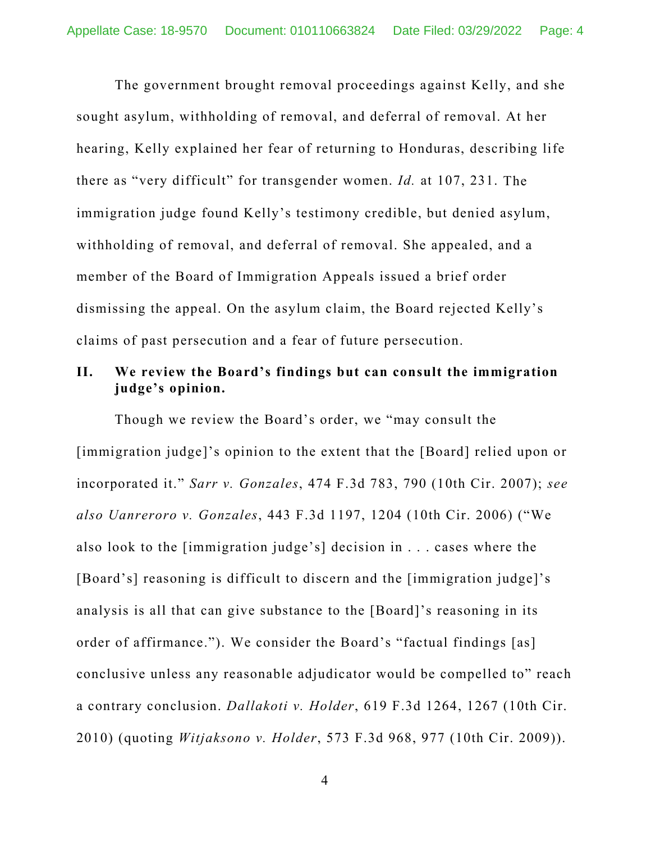The government brought removal proceedings against Kelly, and she sought asylum, withholding of removal, and deferral of removal. At her hearing, Kelly explained her fear of returning to Honduras, describing life there as "very difficult" for transgender women. *Id.* at 107, 231. The immigration judge found Kelly's testimony credible, but denied asylum, withholding of removal, and deferral of removal. She appealed, and a member of the Board of Immigration Appeals issued a brief order dismissing the appeal. On the asylum claim, the Board rejected Kelly's claims of past persecution and a fear of future persecution.

# **II. We review the Board's findings but can consult the immigration judge's opinion.**

Though we review the Board's order, we "may consult the [immigration judge]'s opinion to the extent that the [Board] relied upon or incorporated it." *Sarr v. Gonzales*, 474 F.3d 783, 790 (10th Cir. 2007); *see also Uanreroro v. Gonzales*, 443 F.3d 1197, 1204 (10th Cir. 2006) ("We also look to the [immigration judge's] decision in . . . cases where the [Board's] reasoning is difficult to discern and the [immigration judge]'s analysis is all that can give substance to the [Board]'s reasoning in its order of affirmance."). We consider the Board's "factual findings [as] conclusive unless any reasonable adjudicator would be compelled to" reach a contrary conclusion. *Dallakoti v. Holder*, 619 F.3d 1264, 1267 (10th Cir. 2010) (quoting *Witjaksono v. Holder*, 573 F.3d 968, 977 (10th Cir. 2009)).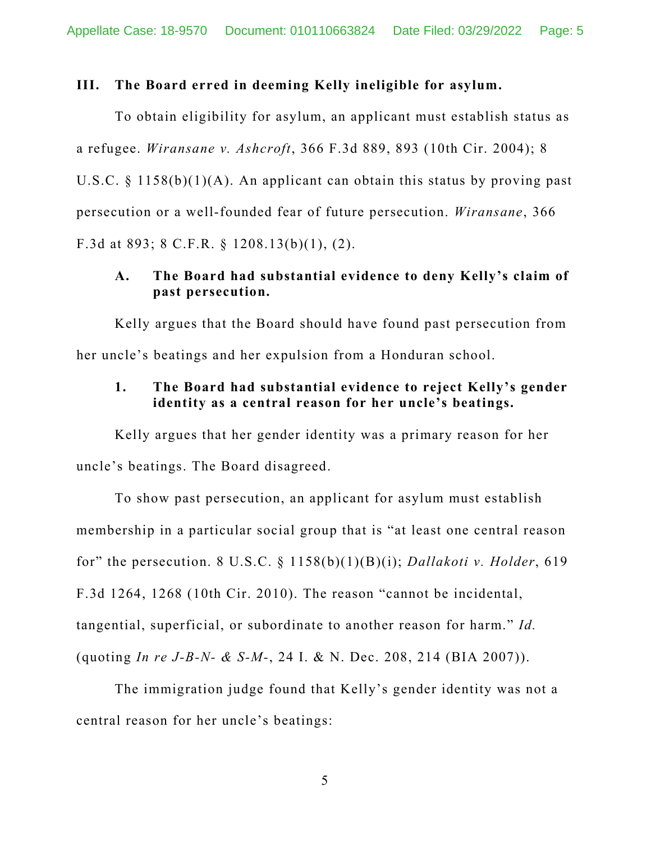#### **III. The Board erred in deeming Kelly ineligible for asylum.**

To obtain eligibility for asylum, an applicant must establish status as a refugee. *Wiransane v. Ashcroft*, 366 F.3d 889, 893 (10th Cir. 2004); 8 U.S.C. § 1158(b)(1)(A). An applicant can obtain this status by proving past persecution or a well-founded fear of future persecution. *Wiransane*, 366 F.3d at 893; 8 C.F.R. § 1208.13(b)(1), (2).

### **A. The Board had substantial evidence to deny Kelly's claim of past persecution.**

Kelly argues that the Board should have found past persecution from her uncle's beatings and her expulsion from a Honduran school.

### **1. The Board had substantial evidence to reject Kelly's gender identity as a central reason for her uncle's beatings.**

Kelly argues that her gender identity was a primary reason for her uncle's beatings. The Board disagreed.

To show past persecution, an applicant for asylum must establish membership in a particular social group that is "at least one central reason for" the persecution. 8 U.S.C. § 1158(b)(1)(B)(i); *Dallakoti v. Holder*, 619 F.3d 1264, 1268 (10th Cir. 2010). The reason "cannot be incidental, tangential, superficial, or subordinate to another reason for harm." *Id.* (quoting *In re J-B-N- & S-M-*, 24 I. & N. Dec. 208, 214 (BIA 2007)).

The immigration judge found that Kelly's gender identity was not a central reason for her uncle's beatings: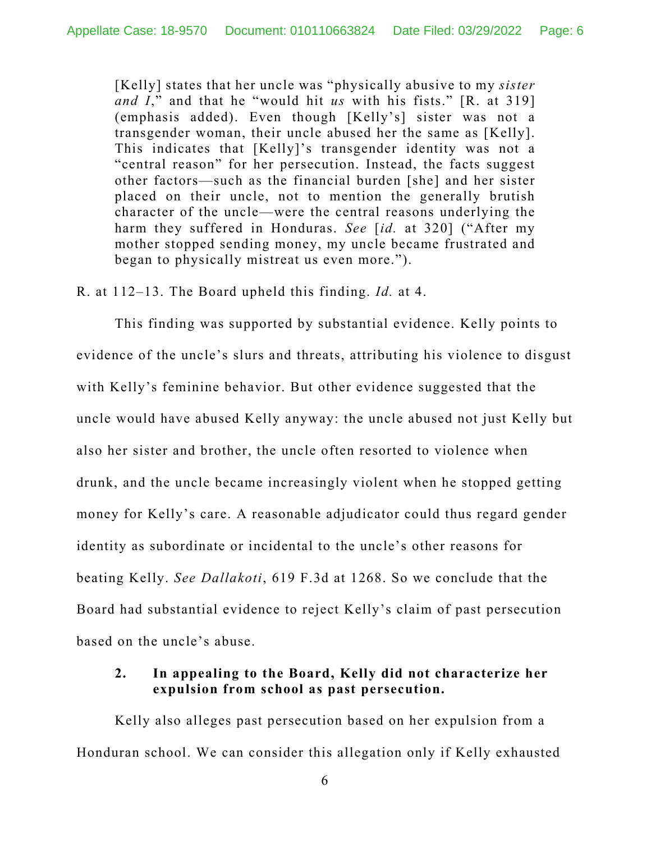[Kelly] states that her uncle was "physically abusive to my *sister and I*," and that he "would hit *us* with his fists." [R. at 319] (emphasis added). Even though [Kelly's] sister was not a transgender woman, their uncle abused her the same as [Kelly]. This indicates that [Kelly]'s transgender identity was not a "central reason" for her persecution. Instead, the facts suggest other factors—such as the financial burden [she] and her sister placed on their uncle, not to mention the generally brutish character of the uncle—were the central reasons underlying the harm they suffered in Honduras. *See* [*id.* at 320] ("After my mother stopped sending money, my uncle became frustrated and began to physically mistreat us even more.").

R. at 112–13. The Board upheld this finding. *Id.* at 4.

This finding was supported by substantial evidence. Kelly points to evidence of the uncle's slurs and threats, attributing his violence to disgust with Kelly's feminine behavior. But other evidence suggested that the uncle would have abused Kelly anyway: the uncle abused not just Kelly but also her sister and brother, the uncle often resorted to violence when drunk, and the uncle became increasingly violent when he stopped getting money for Kelly's care. A reasonable adjudicator could thus regard gender identity as subordinate or incidental to the uncle's other reasons for beating Kelly. *See Dallakoti*, 619 F.3d at 1268. So we conclude that the Board had substantial evidence to reject Kelly's claim of past persecution based on the uncle's abuse.

## **2. In appealing to the Board, Kelly did not characterize her expulsion from school as past persecution.**

Kelly also alleges past persecution based on her expulsion from a Honduran school. We can consider this allegation only if Kelly exhausted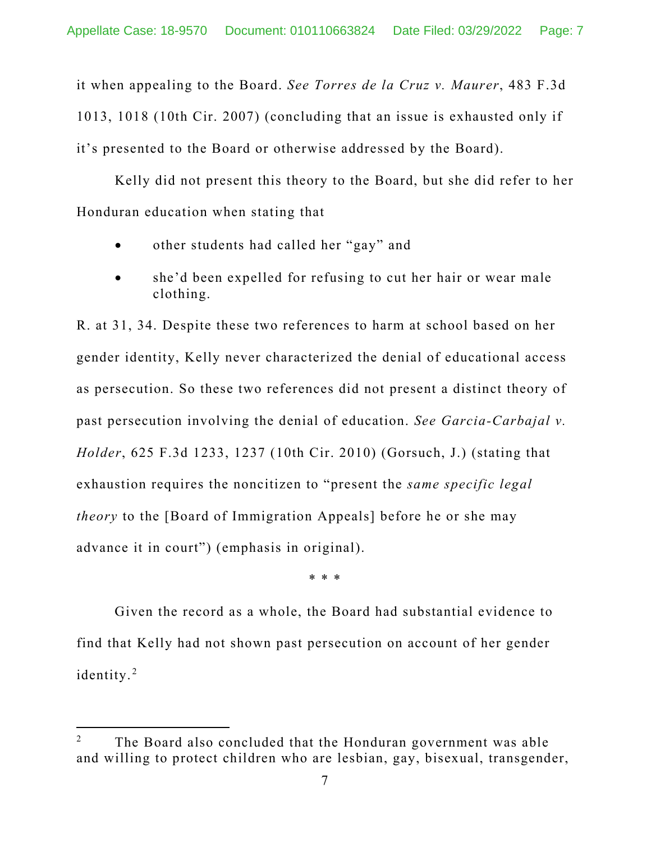it when appealing to the Board. *See Torres de la Cruz v. Maurer*, 483 F.3d 1013, 1018 (10th Cir. 2007) (concluding that an issue is exhausted only if it's presented to the Board or otherwise addressed by the Board).

Kelly did not present this theory to the Board, but she did refer to her Honduran education when stating that

- other students had called her "gay" and
- she'd been expelled for refusing to cut her hair or wear male clothing.

R. at 31, 34. Despite these two references to harm at school based on her gender identity, Kelly never characterized the denial of educational access as persecution. So these two references did not present a distinct theory of past persecution involving the denial of education. *See Garcia-Carbajal v. Holder*, 625 F.3d 1233, 1237 (10th Cir. 2010) (Gorsuch, J.) (stating that exhaustion requires the noncitizen to "present the *same specific legal theory* to the [Board of Immigration Appeals] before he or she may advance it in court") (emphasis in original).

\* \* \*

Given the record as a whole, the Board had substantial evidence to find that Kelly had not shown past persecution on account of her gender identity.<sup>[2](#page-6-0)</sup>

<span id="page-6-0"></span> $2^2$  The Board also concluded that the Honduran government was able and willing to protect children who are lesbian, gay, bisexual, transgender,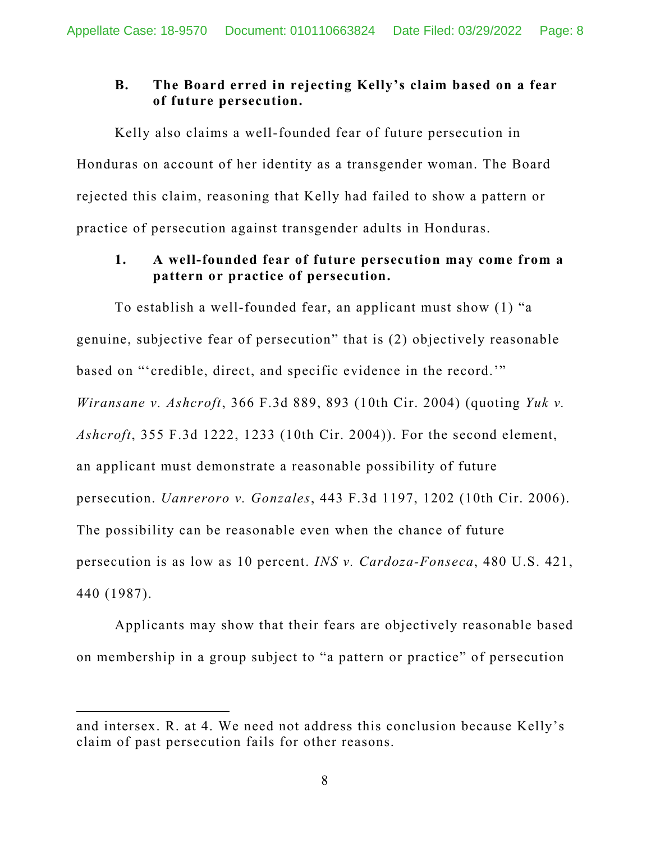# **B. The Board erred in rejecting Kelly's claim based on a fear of future persecution.**

Kelly also claims a well-founded fear of future persecution in Honduras on account of her identity as a transgender woman. The Board rejected this claim, reasoning that Kelly had failed to show a pattern or practice of persecution against transgender adults in Honduras.

# **1. A well-founded fear of future persecution may come from a pattern or practice of persecution.**

To establish a well-founded fear, an applicant must show (1) "a genuine, subjective fear of persecution" that is (2) objectively reasonable based on "'credible, direct, and specific evidence in the record.'" *Wiransane v. Ashcroft*, 366 F.3d 889, 893 (10th Cir. 2004) (quoting *Yuk v. Ashcroft*, 355 F.3d 1222, 1233 (10th Cir. 2004)). For the second element, an applicant must demonstrate a reasonable possibility of future persecution. *Uanreroro v. Gonzales*, 443 F.3d 1197, 1202 (10th Cir. 2006). The possibility can be reasonable even when the chance of future persecution is as low as 10 percent. *INS v. Cardoza-Fonseca*, 480 U.S. 421, 440 (1987).

Applicants may show that their fears are objectively reasonable based on membership in a group subject to "a pattern or practice" of persecution

and intersex. R. at 4. We need not address this conclusion because Kelly's claim of past persecution fails for other reasons.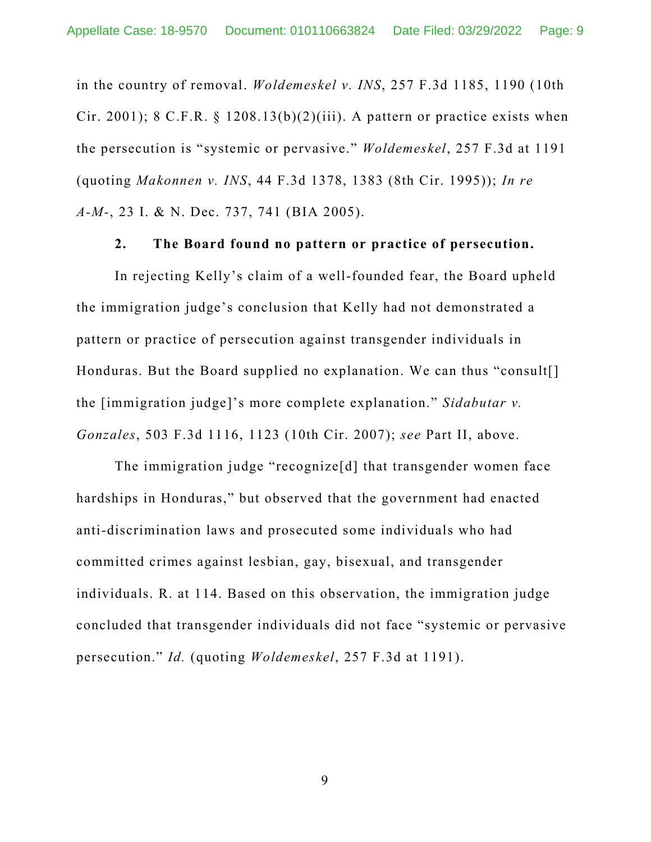in the country of removal. *Woldemeskel v. INS*, 257 F.3d 1185, 1190 (10th Cir. 2001); 8 C.F.R.  $\S$  1208.13(b)(2)(iii). A pattern or practice exists when the persecution is "systemic or pervasive." *Woldemeskel*, 257 F.3d at 1191 (quoting *Makonnen v. INS*, 44 F.3d 1378, 1383 (8th Cir. 1995)); *In re A-M-*, 23 I. & N. Dec. 737, 741 (BIA 2005).

#### **2. The Board found no pattern or practice of persecution.**

In rejecting Kelly's claim of a well-founded fear, the Board upheld the immigration judge's conclusion that Kelly had not demonstrated a pattern or practice of persecution against transgender individuals in Honduras. But the Board supplied no explanation. We can thus "consult[] the [immigration judge]'s more complete explanation." *Sidabutar v. Gonzales*, 503 F.3d 1116, 1123 (10th Cir. 2007); *see* Part II, above.

The immigration judge "recognize[d] that transgender women face hardships in Honduras," but observed that the government had enacted anti-discrimination laws and prosecuted some individuals who had committed crimes against lesbian, gay, bisexual, and transgender individuals. R. at 114. Based on this observation, the immigration judge concluded that transgender individuals did not face "systemic or pervasive persecution." *Id.* (quoting *Woldemeskel*, 257 F.3d at 1191).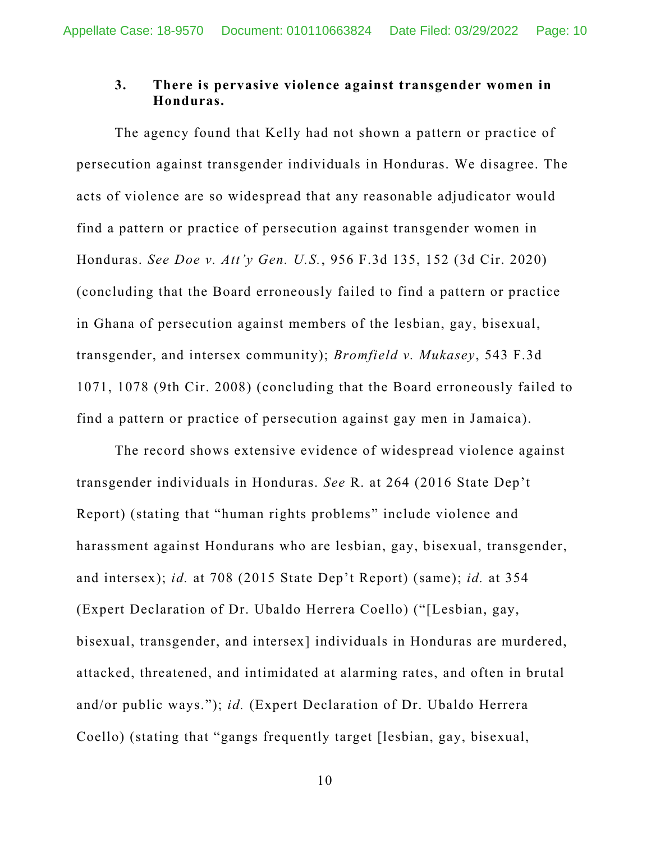### **3. There is pervasive violence against transgender women in Honduras.**

The agency found that Kelly had not shown a pattern or practice of persecution against transgender individuals in Honduras. We disagree. The acts of violence are so widespread that any reasonable adjudicator would find a pattern or practice of persecution against transgender women in Honduras. *See Doe v. Att'y Gen. U.S.*, 956 F.3d 135, 152 (3d Cir. 2020) (concluding that the Board erroneously failed to find a pattern or practice in Ghana of persecution against members of the lesbian, gay, bisexual, transgender, and intersex community); *Bromfield v. Mukasey*, 543 F.3d 1071, 1078 (9th Cir. 2008) (concluding that the Board erroneously failed to find a pattern or practice of persecution against gay men in Jamaica).

The record shows extensive evidence of widespread violence against transgender individuals in Honduras. *See* R. at 264 (2016 State Dep't Report) (stating that "human rights problems" include violence and harassment against Hondurans who are lesbian, gay, bisexual, transgender, and intersex); *id.* at 708 (2015 State Dep't Report) (same); *id.* at 354 (Expert Declaration of Dr. Ubaldo Herrera Coello) ("[Lesbian, gay, bisexual, transgender, and intersex] individuals in Honduras are murdered, attacked, threatened, and intimidated at alarming rates, and often in brutal and/or public ways."); *id.* (Expert Declaration of Dr. Ubaldo Herrera Coello) (stating that "gangs frequently target [lesbian, gay, bisexual,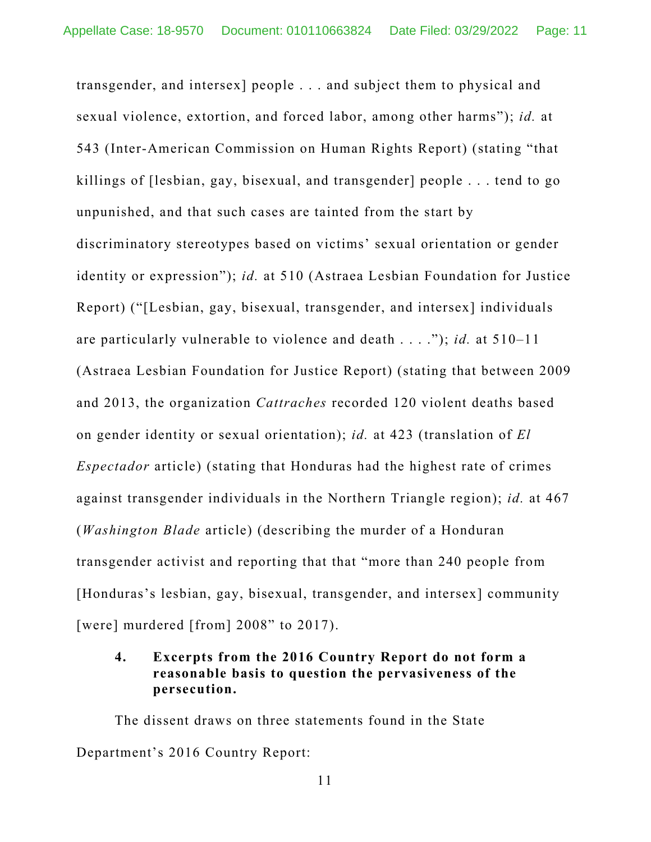transgender, and intersex] people . . . and subject them to physical and sexual violence, extortion, and forced labor, among other harms"); *id.* at 543 (Inter-American Commission on Human Rights Report) (stating "that killings of [lesbian, gay, bisexual, and transgender] people . . . tend to go unpunished, and that such cases are tainted from the start by discriminatory stereotypes based on victims' sexual orientation or gender identity or expression"); *id.* at 510 (Astraea Lesbian Foundation for Justice Report) ("[Lesbian, gay, bisexual, transgender, and intersex] individuals are particularly vulnerable to violence and death . . . ."); *id.* at 510–11 (Astraea Lesbian Foundation for Justice Report) (stating that between 2009 and 2013, the organization *Cattraches* recorded 120 violent deaths based on gender identity or sexual orientation); *id.* at 423 (translation of *El Espectador* article) (stating that Honduras had the highest rate of crimes against transgender individuals in the Northern Triangle region); *id.* at 467 (*Washington Blade* article) (describing the murder of a Honduran transgender activist and reporting that that "more than 240 people from [Honduras's lesbian, gay, bisexual, transgender, and intersex] community [were] murdered [from] 2008" to 2017).

### **4. Excerpts from the 2016 Country Report do not form a reasonable basis to question the pervasiveness of the persecution.**

The dissent draws on three statements found in the State Department's 2016 Country Report: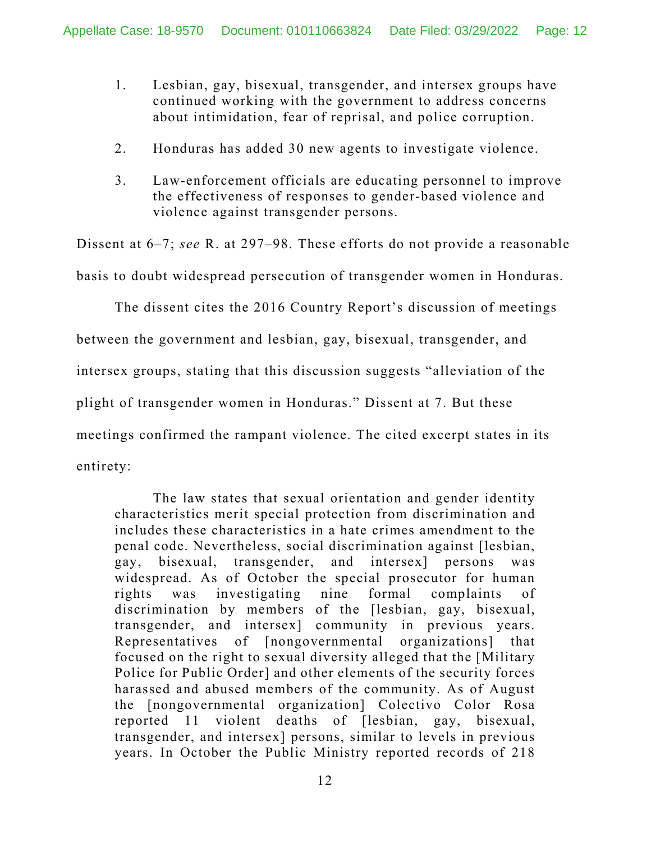- 1. Lesbian, gay, bisexual, transgender, and intersex groups have continued working with the government to address concerns about intimidation, fear of reprisal, and police corruption.
- 2. Honduras has added 30 new agents to investigate violence.
- 3. Law-enforcement officials are educating personnel to improve the effectiveness of responses to gender-based violence and violence against transgender persons.

Dissent at 6–7; *see* R. at 297–98. These efforts do not provide a reasonable basis to doubt widespread persecution of transgender women in Honduras.

The dissent cites the 2016 Country Report's discussion of meetings between the government and lesbian, gay, bisexual, transgender, and intersex groups, stating that this discussion suggests "alleviation of the plight of transgender women in Honduras." Dissent at 7. But these meetings confirmed the rampant violence. The cited excerpt states in its entirety:

The law states that sexual orientation and gender identity characteristics merit special protection from discrimination and includes these characteristics in a hate crimes amendment to the penal code. Nevertheless, social discrimination against [lesbian, gay, bisexual, transgender, and intersex] persons was widespread. As of October the special prosecutor for human rights was investigating nine formal complaints of discrimination by members of the [lesbian, gay, bisexual, transgender, and intersex] community in previous years. Representatives of [nongovernmental organizations] that focused on the right to sexual diversity alleged that the [Military Police for Public Order] and other elements of the security forces harassed and abused members of the community. As of August the [nongovernmental organization] Colectivo Color Rosa reported 11 violent deaths of [lesbian, gay, bisexual, transgender, and intersex] persons, similar to levels in previous years. In October the Public Ministry reported records of 218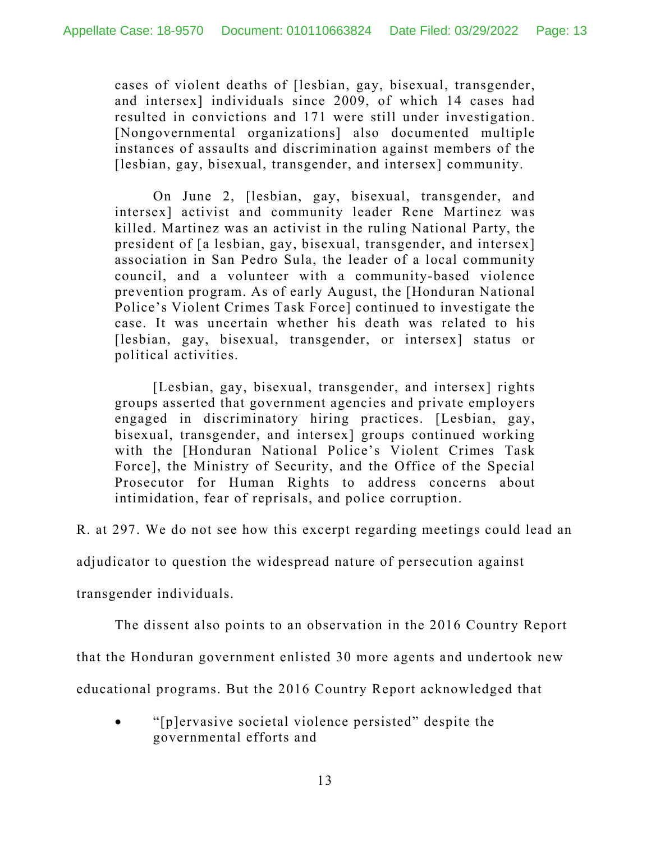cases of violent deaths of [lesbian, gay, bisexual, transgender, and intersex] individuals since 2009, of which 14 cases had resulted in convictions and 171 were still under investigation. [Nongovernmental organizations] also documented multiple instances of assaults and discrimination against members of the [lesbian, gay, bisexual, transgender, and intersex] community.

On June 2, [lesbian, gay, bisexual, transgender, and intersex] activist and community leader Rene Martinez was killed. Martinez was an activist in the ruling National Party, the president of [a lesbian, gay, bisexual, transgender, and intersex] association in San Pedro Sula, the leader of a local community council, and a volunteer with a community-based violence prevention program. As of early August, the [Honduran National Police's Violent Crimes Task Force] continued to investigate the case. It was uncertain whether his death was related to his [lesbian, gay, bisexual, transgender, or intersex] status or political activities.

[Lesbian, gay, bisexual, transgender, and intersex] rights groups asserted that government agencies and private employers engaged in discriminatory hiring practices. [Lesbian, gay, bisexual, transgender, and intersex] groups continued working with the [Honduran National Police's Violent Crimes Task Force], the Ministry of Security, and the Office of the Special Prosecutor for Human Rights to address concerns about intimidation, fear of reprisals, and police corruption.

R. at 297. We do not see how this excerpt regarding meetings could lead an

adjudicator to question the widespread nature of persecution against

transgender individuals.

The dissent also points to an observation in the 2016 Country Report

that the Honduran government enlisted 30 more agents and undertook new

educational programs. But the 2016 Country Report acknowledged that

• "[p]ervasive societal violence persisted" despite the governmental efforts and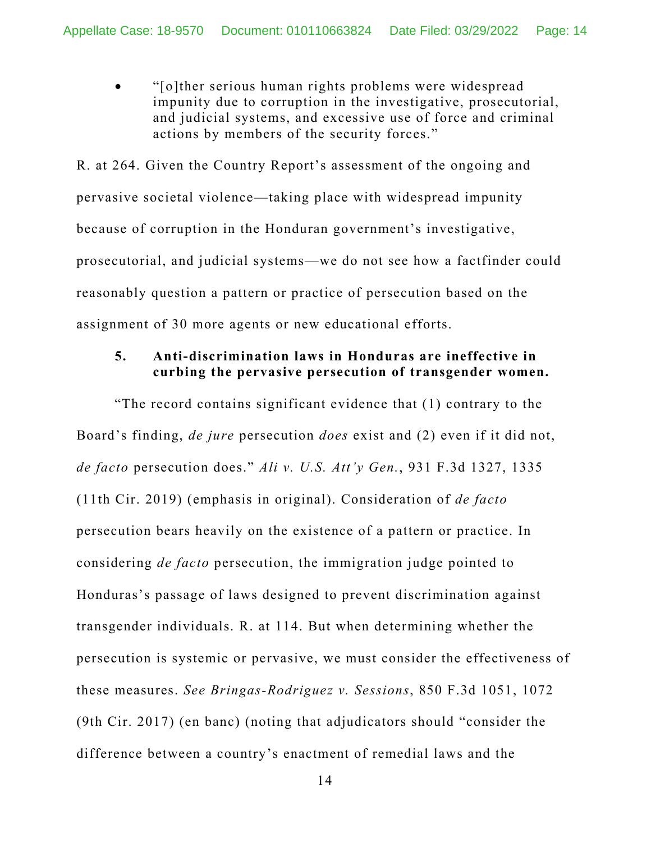• "[o]ther serious human rights problems were widespread impunity due to corruption in the investigative, prosecutorial, and judicial systems, and excessive use of force and criminal actions by members of the security forces."

R. at 264. Given the Country Report's assessment of the ongoing and pervasive societal violence—taking place with widespread impunity because of corruption in the Honduran government's investigative, prosecutorial, and judicial systems—we do not see how a factfinder could reasonably question a pattern or practice of persecution based on the assignment of 30 more agents or new educational efforts.

### **5. Anti-discrimination laws in Honduras are ineffective in curbing the pervasive persecution of transgender women.**

"The record contains significant evidence that (1) contrary to the Board's finding, *de jure* persecution *does* exist and (2) even if it did not, *de facto* persecution does." *Ali v. U.S. Att'y Gen.*, 931 F.3d 1327, 1335 (11th Cir. 2019) (emphasis in original). Consideration of *de facto*  persecution bears heavily on the existence of a pattern or practice. In considering *de facto* persecution, the immigration judge pointed to Honduras's passage of laws designed to prevent discrimination against transgender individuals. R. at 114. But when determining whether the persecution is systemic or pervasive, we must consider the effectiveness of these measures. *See Bringas-Rodriguez v. Sessions*, 850 F.3d 1051, 1072 (9th Cir. 2017) (en banc) (noting that adjudicators should "consider the difference between a country's enactment of remedial laws and the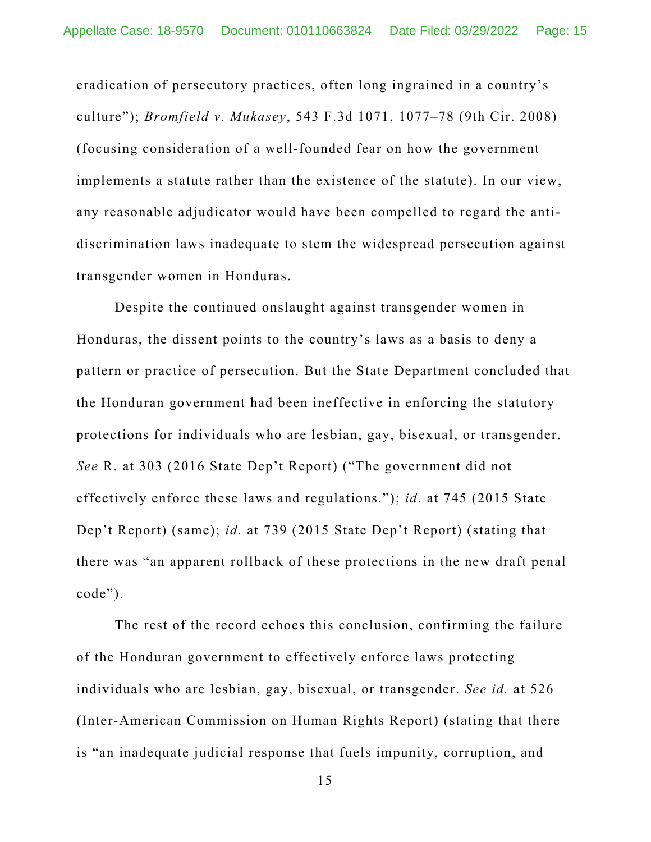eradication of persecutory practices, often long ingrained in a country's culture"); *Bromfield v. Mukasey*, 543 F.3d 1071, 1077–78 (9th Cir. 2008) (focusing consideration of a well-founded fear on how the government implements a statute rather than the existence of the statute). In our view, any reasonable adjudicator would have been compelled to regard the antidiscrimination laws inadequate to stem the widespread persecution against transgender women in Honduras.

Despite the continued onslaught against transgender women in Honduras, the dissent points to the country's laws as a basis to deny a pattern or practice of persecution. But the State Department concluded that the Honduran government had been ineffective in enforcing the statutory protections for individuals who are lesbian, gay, bisexual, or transgender. *See* R. at 303 (2016 State Dep't Report) ("The government did not effectively enforce these laws and regulations."); *id*. at 745 (2015 State Dep't Report) (same); *id.* at 739 (2015 State Dep't Report) (stating that there was "an apparent rollback of these protections in the new draft penal code").

The rest of the record echoes this conclusion, confirming the failure of the Honduran government to effectively enforce laws protecting individuals who are lesbian, gay, bisexual, or transgender. *See id.* at 526 (Inter-American Commission on Human Rights Report) (stating that there is "an inadequate judicial response that fuels impunity, corruption, and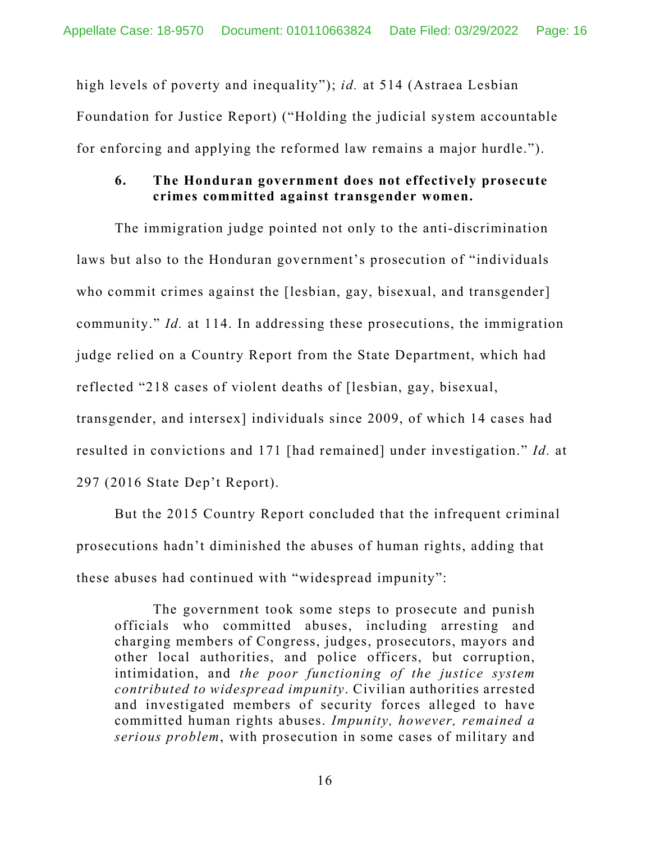high levels of poverty and inequality"); *id.* at 514 (Astraea Lesbian Foundation for Justice Report) ("Holding the judicial system accountable for enforcing and applying the reformed law remains a major hurdle.").

### **6. The Honduran government does not effectively prosecute crimes committed against transgender women.**

The immigration judge pointed not only to the anti-discrimination laws but also to the Honduran government's prosecution of "individuals who commit crimes against the [lesbian, gay, bisexual, and transgender] community." *Id.* at 114. In addressing these prosecutions, the immigration judge relied on a Country Report from the State Department, which had reflected "218 cases of violent deaths of [lesbian, gay, bisexual, transgender, and intersex] individuals since 2009, of which 14 cases had resulted in convictions and 171 [had remained] under investigation." *Id.* at 297 (2016 State Dep't Report).

But the 2015 Country Report concluded that the infrequent criminal prosecutions hadn't diminished the abuses of human rights, adding that these abuses had continued with "widespread impunity":

The government took some steps to prosecute and punish officials who committed abuses, including arresting and charging members of Congress, judges, prosecutors, mayors and other local authorities, and police officers, but corruption, intimidation, and *the poor functioning of the justice system contributed to widespread impunity*. Civilian authorities arrested and investigated members of security forces alleged to have committed human rights abuses. *Impunity, however, remained a serious problem*, with prosecution in some cases of military and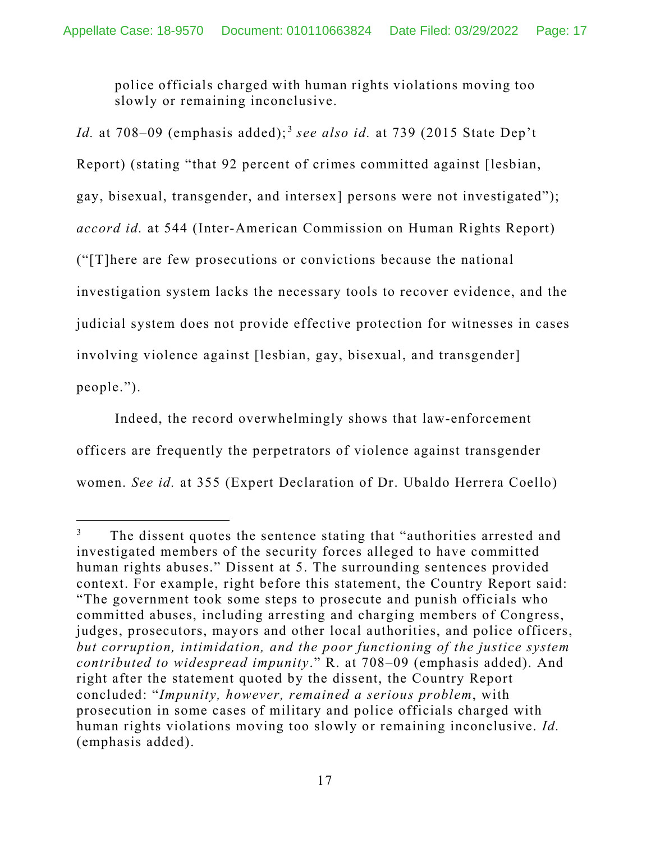police officials charged with human rights violations moving too slowly or remaining inconclusive.

*Id.* at 708–09 (emphasis added);<sup>[3](#page-16-0)</sup> see also id. at 739 (2015 State Dep't) Report) (stating "that 92 percent of crimes committed against [lesbian, gay, bisexual, transgender, and intersex] persons were not investigated"); *accord id.* at 544 (Inter-American Commission on Human Rights Report) ("[T]here are few prosecutions or convictions because the national investigation system lacks the necessary tools to recover evidence, and the judicial system does not provide effective protection for witnesses in cases involving violence against [lesbian, gay, bisexual, and transgender] people.").

Indeed, the record overwhelmingly shows that law-enforcement officers are frequently the perpetrators of violence against transgender women. *See id.* at 355 (Expert Declaration of Dr. Ubaldo Herrera Coello)

<span id="page-16-0"></span>The dissent quotes the sentence stating that "authorities arrested and investigated members of the security forces alleged to have committed human rights abuses." Dissent at 5. The surrounding sentences provided context. For example, right before this statement, the Country Report said: "The government took some steps to prosecute and punish officials who committed abuses, including arresting and charging members of Congress, judges, prosecutors, mayors and other local authorities, and police officers, *but corruption, intimidation, and the poor functioning of the justice system contributed to widespread impunity*." R. at 708–09 (emphasis added). And right after the statement quoted by the dissent, the Country Report concluded: "*Impunity, however, remained a serious problem*, with prosecution in some cases of military and police officials charged with human rights violations moving too slowly or remaining inconclusive. *Id.* (emphasis added).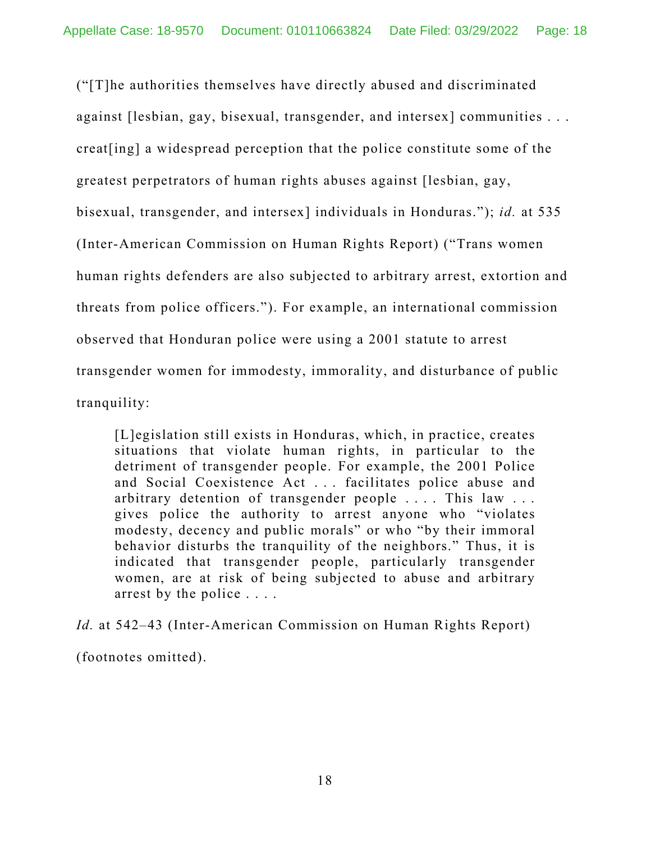("[T]he authorities themselves have directly abused and discriminated against [lesbian, gay, bisexual, transgender, and intersex] communities . . . creat[ing] a widespread perception that the police constitute some of the greatest perpetrators of human rights abuses against [lesbian, gay, bisexual, transgender, and intersex] individuals in Honduras."); *id.* at 535 (Inter-American Commission on Human Rights Report) ("Trans women human rights defenders are also subjected to arbitrary arrest, extortion and threats from police officers."). For example, an international commission observed that Honduran police were using a 2001 statute to arrest transgender women for immodesty, immorality, and disturbance of public tranquility:

[L]egislation still exists in Honduras, which, in practice, creates situations that violate human rights, in particular to the detriment of transgender people. For example, the 2001 Police and Social Coexistence Act . . . facilitates police abuse and arbitrary detention of transgender people .... This law ... gives police the authority to arrest anyone who "violates modesty, decency and public morals" or who "by their immoral behavior disturbs the tranquility of the neighbors." Thus, it is indicated that transgender people, particularly transgender women, are at risk of being subjected to abuse and arbitrary arrest by the police . . . .

*Id.* at 542–43 (Inter-American Commission on Human Rights Report) (footnotes omitted).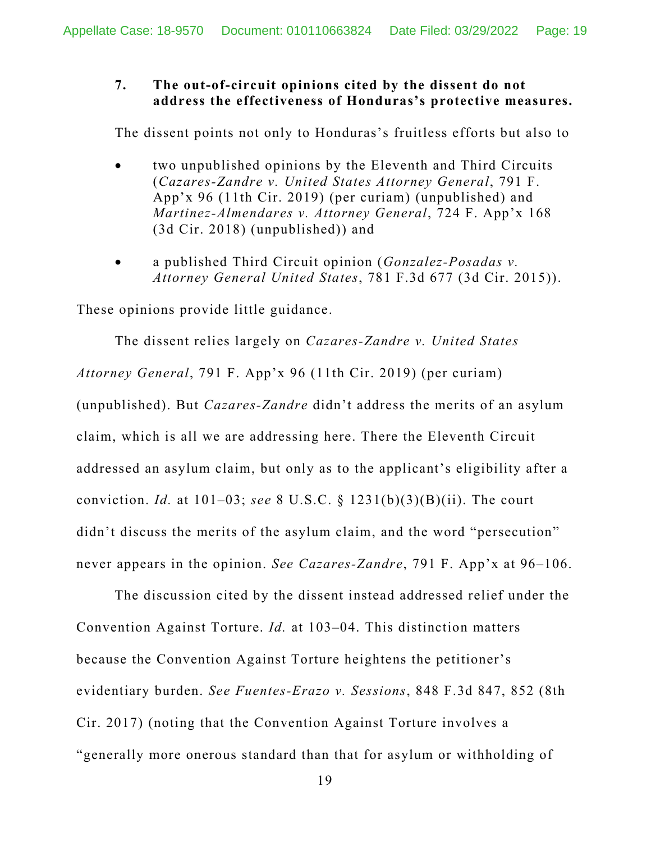#### **7. The out-of-circuit opinions cited by the dissent do not address the effectiveness of Honduras's protective measures.**

The dissent points not only to Honduras's fruitless efforts but also to

- two unpublished opinions by the Eleventh and Third Circuits (*Cazares-Zandre v. United States Attorney General*, 791 F. App'x 96 (11th Cir. 2019) (per curiam) (unpublished) and *Martinez-Almendares v. Attorney General*, 724 F. App'x 168 (3d Cir. 2018) (unpublished)) and
- a published Third Circuit opinion (*Gonzalez-Posadas v. Attorney General United States*, 781 F.3d 677 (3d Cir. 2015)).

These opinions provide little guidance.

The dissent relies largely on *Cazares-Zandre v. United States Attorney General*, 791 F. App'x 96 (11th Cir. 2019) (per curiam) (unpublished). But *Cazares-Zandre* didn't address the merits of an asylum claim, which is all we are addressing here. There the Eleventh Circuit addressed an asylum claim, but only as to the applicant's eligibility after a conviction. *Id.* at 101–03; *see* 8 U.S.C. § 1231(b)(3)(B)(ii). The court didn't discuss the merits of the asylum claim, and the word "persecution" never appears in the opinion. *See Cazares-Zandre*, 791 F. App'x at 96–106.

The discussion cited by the dissent instead addressed relief under the Convention Against Torture. *Id.* at 103–04. This distinction matters because the Convention Against Torture heightens the petitioner's evidentiary burden. *See Fuentes-Erazo v. Sessions*, 848 F.3d 847, 852 (8th Cir. 2017) (noting that the Convention Against Torture involves a "generally more onerous standard than that for asylum or withholding of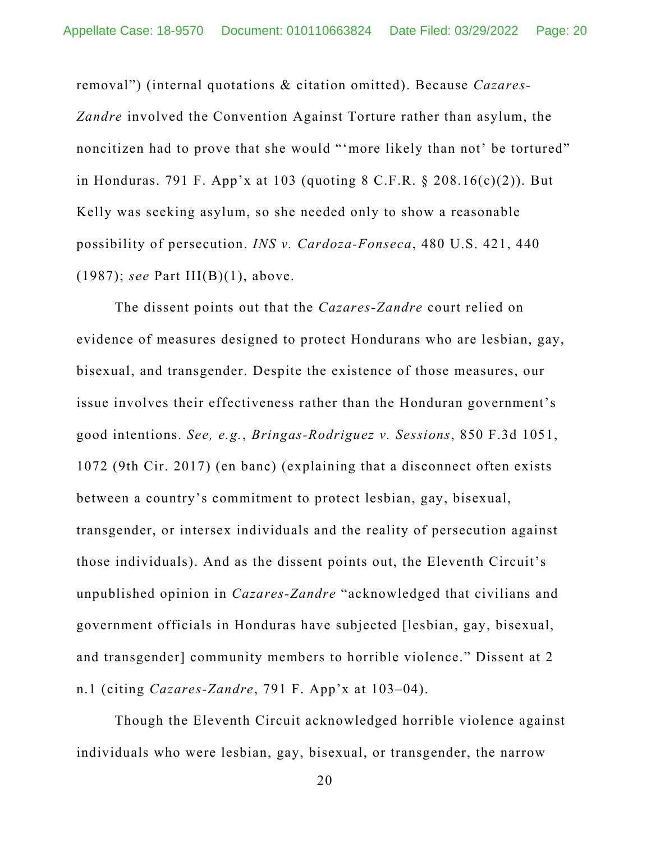removal") (internal quotations & citation omitted). Because *Cazares-Zandre* involved the Convention Against Torture rather than asylum, the noncitizen had to prove that she would "'more likely than not' be tortured" in Honduras. 791 F. App'x at 103 (quoting 8 C.F.R. § 208.16(c)(2)). But Kelly was seeking asylum, so she needed only to show a reasonable possibility of persecution. *INS v. Cardoza-Fonseca*, 480 U.S. 421, 440 (1987); *see* Part III(B)(1), above.

The dissent points out that the *Cazares-Zandre* court relied on evidence of measures designed to protect Hondurans who are lesbian, gay, bisexual, and transgender. Despite the existence of those measures, our issue involves their effectiveness rather than the Honduran government's good intentions. *See, e.g.*, *Bringas-Rodriguez v. Sessions*, 850 F.3d 1051, 1072 (9th Cir. 2017) (en banc) (explaining that a disconnect often exists between a country's commitment to protect lesbian, gay, bisexual, transgender, or intersex individuals and the reality of persecution against those individuals). And as the dissent points out, the Eleventh Circuit's unpublished opinion in *Cazares-Zandre* "acknowledged that civilians and government officials in Honduras have subjected [lesbian, gay, bisexual, and transgender] community members to horrible violence." Dissent at 2 n.1 (citing *Cazares-Zandre*, 791 F. App'x at 103–04).

Though the Eleventh Circuit acknowledged horrible violence against individuals who were lesbian, gay, bisexual, or transgender, the narrow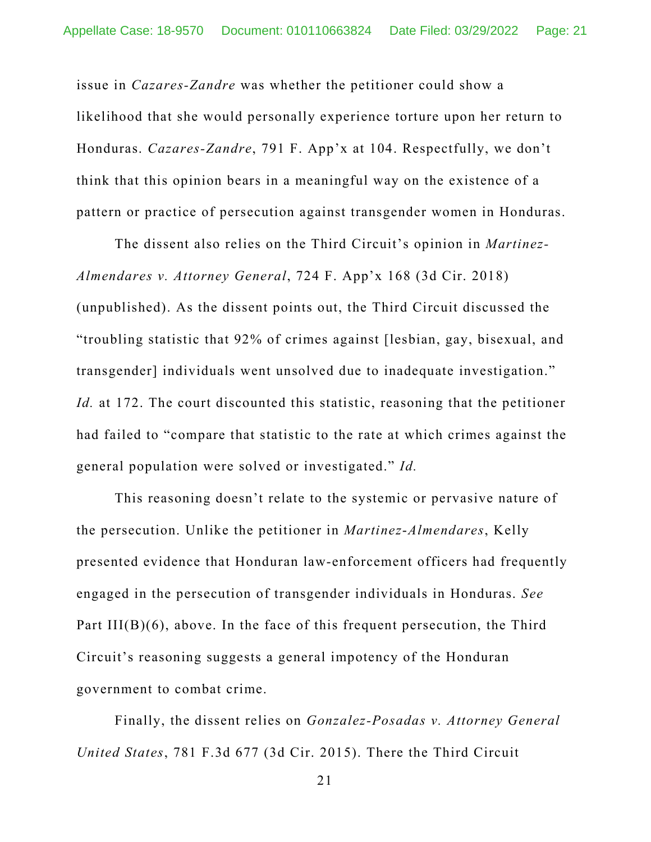issue in *Cazares-Zandre* was whether the petitioner could show a likelihood that she would personally experience torture upon her return to Honduras. *Cazares-Zandre*, 791 F. App'x at 104. Respectfully, we don't think that this opinion bears in a meaningful way on the existence of a pattern or practice of persecution against transgender women in Honduras.

The dissent also relies on the Third Circuit's opinion in *Martinez-Almendares v. Attorney General*, 724 F. App'x 168 (3d Cir. 2018) (unpublished). As the dissent points out, the Third Circuit discussed the "troubling statistic that 92% of crimes against [lesbian, gay, bisexual, and transgender] individuals went unsolved due to inadequate investigation." *Id.* at 172. The court discounted this statistic, reasoning that the petitioner had failed to "compare that statistic to the rate at which crimes against the general population were solved or investigated." *Id.*

This reasoning doesn't relate to the systemic or pervasive nature of the persecution. Unlike the petitioner in *Martinez*-*Almendares*, Kelly presented evidence that Honduran law-enforcement officers had frequently engaged in the persecution of transgender individuals in Honduras. *See*  Part III(B)(6), above. In the face of this frequent persecution, the Third Circuit's reasoning suggests a general impotency of the Honduran government to combat crime.

Finally, the dissent relies on *Gonzalez-Posadas v. Attorney General United States*, 781 F.3d 677 (3d Cir. 2015). There the Third Circuit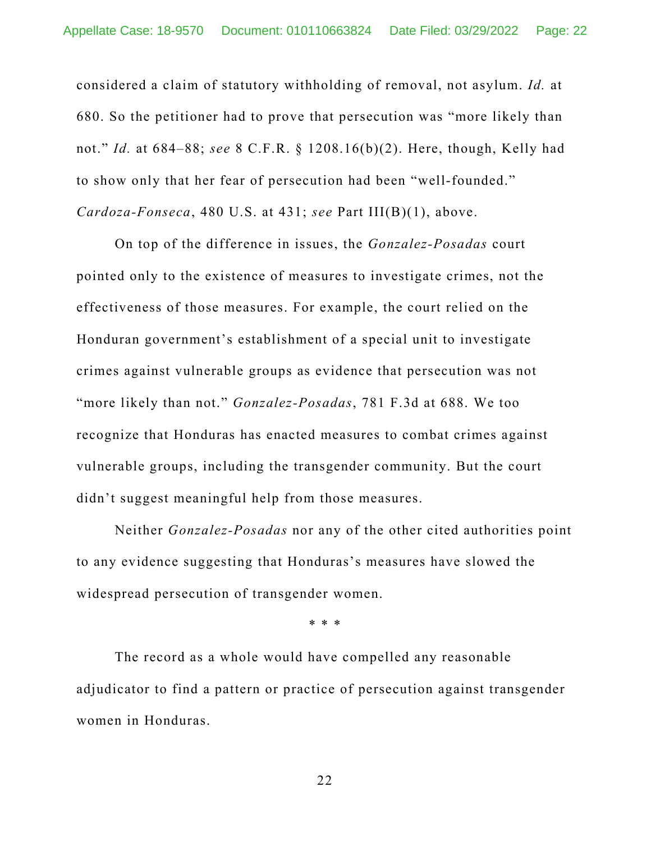considered a claim of statutory withholding of removal, not asylum. *Id.* at 680. So the petitioner had to prove that persecution was "more likely than not." *Id.* at 684–88; *see* 8 C.F.R. § 1208.16(b)(2). Here, though, Kelly had to show only that her fear of persecution had been "well-founded." *Cardoza-Fonseca*, 480 U.S. at 431; *see* Part III(B)(1), above.

On top of the difference in issues, the *Gonzalez-Posadas* court pointed only to the existence of measures to investigate crimes, not the effectiveness of those measures. For example, the court relied on the Honduran government's establishment of a special unit to investigate crimes against vulnerable groups as evidence that persecution was not "more likely than not." *Gonzalez-Posadas*, 781 F.3d at 688. We too recognize that Honduras has enacted measures to combat crimes against vulnerable groups, including the transgender community. But the court didn't suggest meaningful help from those measures.

Neither *Gonzalez-Posadas* nor any of the other cited authorities point to any evidence suggesting that Honduras's measures have slowed the widespread persecution of transgender women.

\* \* \*

The record as a whole would have compelled any reasonable adjudicator to find a pattern or practice of persecution against transgender women in Honduras.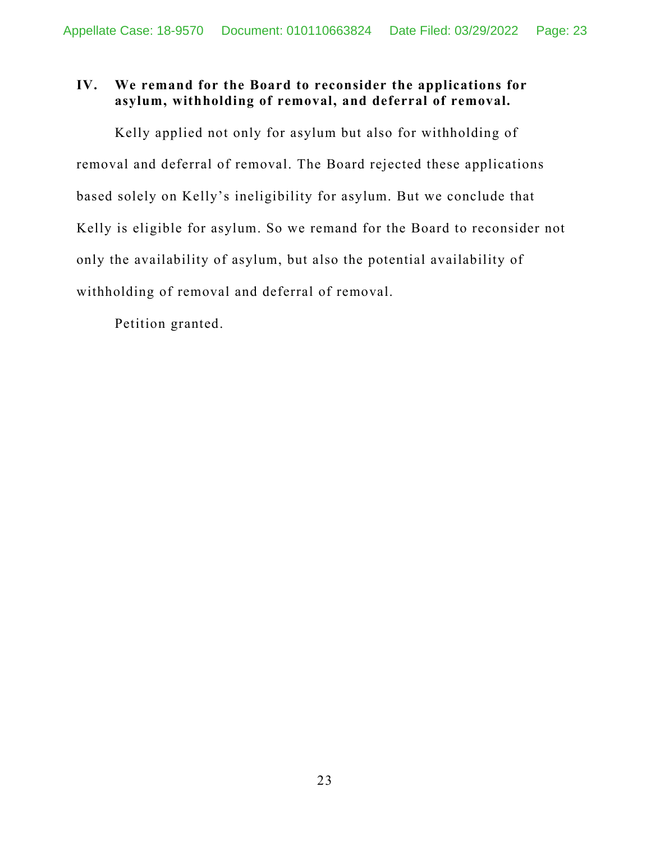# **IV. We remand for the Board to reconsider the applications for asylum, withholding of removal, and deferral of removal.**

Kelly applied not only for asylum but also for withholding of removal and deferral of removal. The Board rejected these applications based solely on Kelly's ineligibility for asylum. But we conclude that Kelly is eligible for asylum. So we remand for the Board to reconsider not only the availability of asylum, but also the potential availability of withholding of removal and deferral of removal.

Petition granted.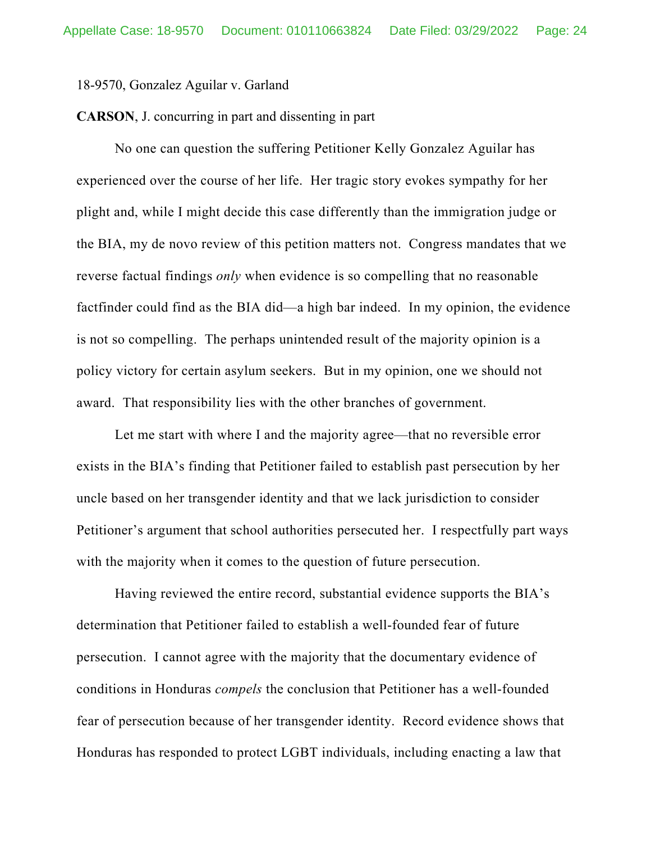#### 18-9570, Gonzalez Aguilar v. Garland

#### **CARSON**, J. concurring in part and dissenting in part

No one can question the suffering Petitioner Kelly Gonzalez Aguilar has experienced over the course of her life. Her tragic story evokes sympathy for her plight and, while I might decide this case differently than the immigration judge or the BIA, my de novo review of this petition matters not. Congress mandates that we reverse factual findings *only* when evidence is so compelling that no reasonable factfinder could find as the BIA did—a high bar indeed. In my opinion, the evidence is not so compelling. The perhaps unintended result of the majority opinion is a policy victory for certain asylum seekers. But in my opinion, one we should not award. That responsibility lies with the other branches of government.

Let me start with where I and the majority agree—that no reversible error exists in the BIA's finding that Petitioner failed to establish past persecution by her uncle based on her transgender identity and that we lack jurisdiction to consider Petitioner's argument that school authorities persecuted her. I respectfully part ways with the majority when it comes to the question of future persecution.

Having reviewed the entire record, substantial evidence supports the BIA's determination that Petitioner failed to establish a well-founded fear of future persecution. I cannot agree with the majority that the documentary evidence of conditions in Honduras *compels* the conclusion that Petitioner has a well-founded fear of persecution because of her transgender identity. Record evidence shows that Honduras has responded to protect LGBT individuals, including enacting a law that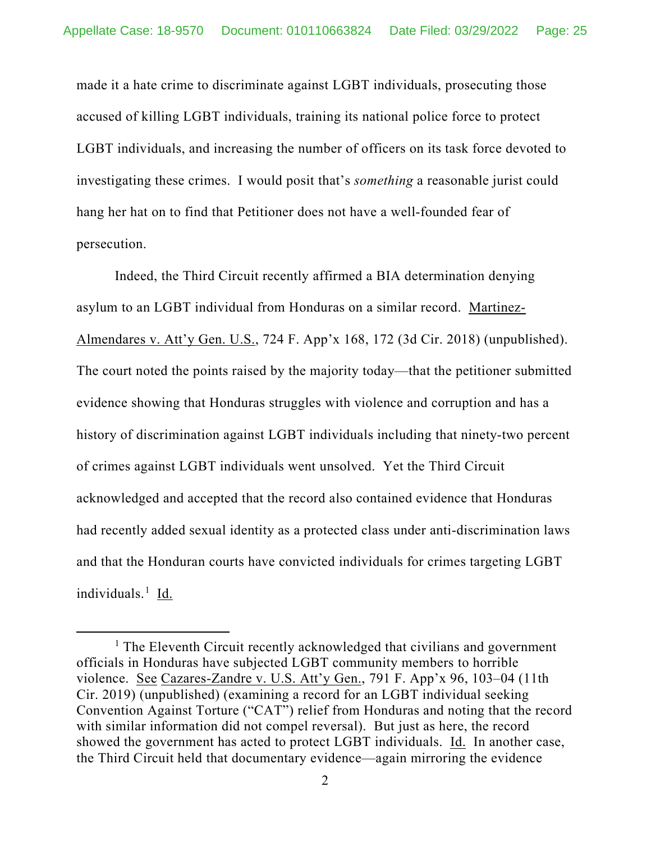made it a hate crime to discriminate against LGBT individuals, prosecuting those accused of killing LGBT individuals, training its national police force to protect LGBT individuals, and increasing the number of officers on its task force devoted to investigating these crimes. I would posit that's *something* a reasonable jurist could hang her hat on to find that Petitioner does not have a well-founded fear of persecution.

Indeed, the Third Circuit recently affirmed a BIA determination denying asylum to an LGBT individual from Honduras on a similar record. Martinez-Almendares v. Att'y Gen. U.S., 724 F. App'x 168, 172 (3d Cir. 2018) (unpublished). The court noted the points raised by the majority today—that the petitioner submitted evidence showing that Honduras struggles with violence and corruption and has a history of discrimination against LGBT individuals including that ninety-two percent of crimes against LGBT individuals went unsolved. Yet the Third Circuit acknowledged and accepted that the record also contained evidence that Honduras had recently added sexual identity as a protected class under anti-discrimination laws and that the Honduran courts have convicted individuals for crimes targeting LGBT individuals.<sup>[1](#page-24-0)</sup> Id.

<span id="page-24-0"></span><sup>&</sup>lt;sup>1</sup> The Eleventh Circuit recently acknowledged that civilians and government officials in Honduras have subjected LGBT community members to horrible violence. See Cazares-Zandre v. U.S. Att'y Gen., 791 F. App'x 96, 103–04 (11th Cir. 2019) (unpublished) (examining a record for an LGBT individual seeking Convention Against Torture ("CAT") relief from Honduras and noting that the record with similar information did not compel reversal). But just as here, the record showed the government has acted to protect LGBT individuals. Id. In another case, the Third Circuit held that documentary evidence—again mirroring the evidence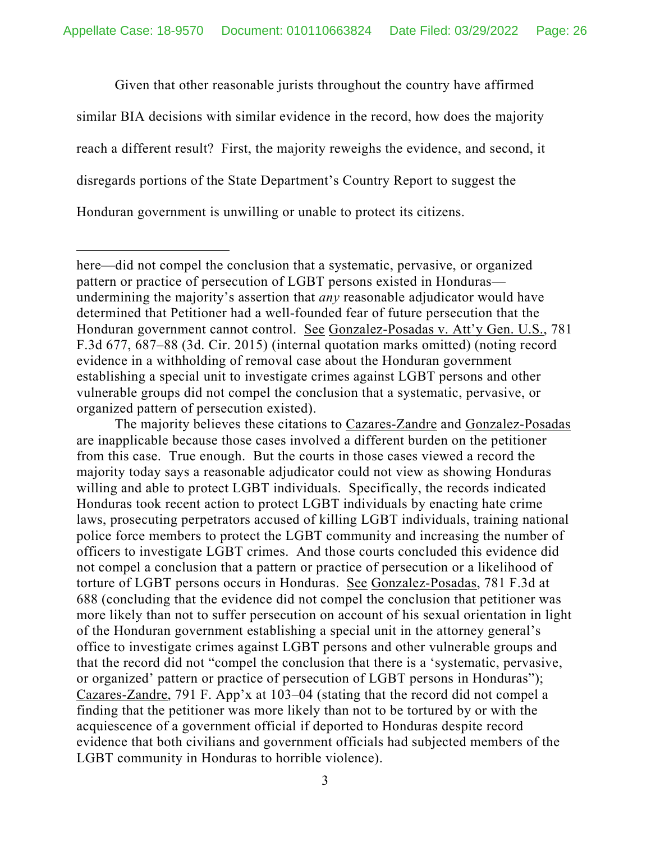Given that other reasonable jurists throughout the country have affirmed similar BIA decisions with similar evidence in the record, how does the majority reach a different result? First, the majority reweighs the evidence, and second, it disregards portions of the State Department's Country Report to suggest the Honduran government is unwilling or unable to protect its citizens.

The majority believes these citations to Cazares-Zandre and Gonzalez-Posadas are inapplicable because those cases involved a different burden on the petitioner from this case. True enough. But the courts in those cases viewed a record the majority today says a reasonable adjudicator could not view as showing Honduras willing and able to protect LGBT individuals. Specifically, the records indicated Honduras took recent action to protect LGBT individuals by enacting hate crime laws, prosecuting perpetrators accused of killing LGBT individuals, training national police force members to protect the LGBT community and increasing the number of officers to investigate LGBT crimes. And those courts concluded this evidence did not compel a conclusion that a pattern or practice of persecution or a likelihood of torture of LGBT persons occurs in Honduras. See Gonzalez-Posadas, 781 F.3d at 688 (concluding that the evidence did not compel the conclusion that petitioner was more likely than not to suffer persecution on account of his sexual orientation in light of the Honduran government establishing a special unit in the attorney general's office to investigate crimes against LGBT persons and other vulnerable groups and that the record did not "compel the conclusion that there is a 'systematic, pervasive, or organized' pattern or practice of persecution of LGBT persons in Honduras"); Cazares-Zandre, 791 F. App'x at 103–04 (stating that the record did not compel a finding that the petitioner was more likely than not to be tortured by or with the acquiescence of a government official if deported to Honduras despite record evidence that both civilians and government officials had subjected members of the LGBT community in Honduras to horrible violence).

here—did not compel the conclusion that a systematic, pervasive, or organized pattern or practice of persecution of LGBT persons existed in Honduras undermining the majority's assertion that *any* reasonable adjudicator would have determined that Petitioner had a well-founded fear of future persecution that the Honduran government cannot control. See Gonzalez-Posadas v. Att'y Gen. U.S., 781 F.3d 677, 687–88 (3d. Cir. 2015) (internal quotation marks omitted) (noting record evidence in a withholding of removal case about the Honduran government establishing a special unit to investigate crimes against LGBT persons and other vulnerable groups did not compel the conclusion that a systematic, pervasive, or organized pattern of persecution existed).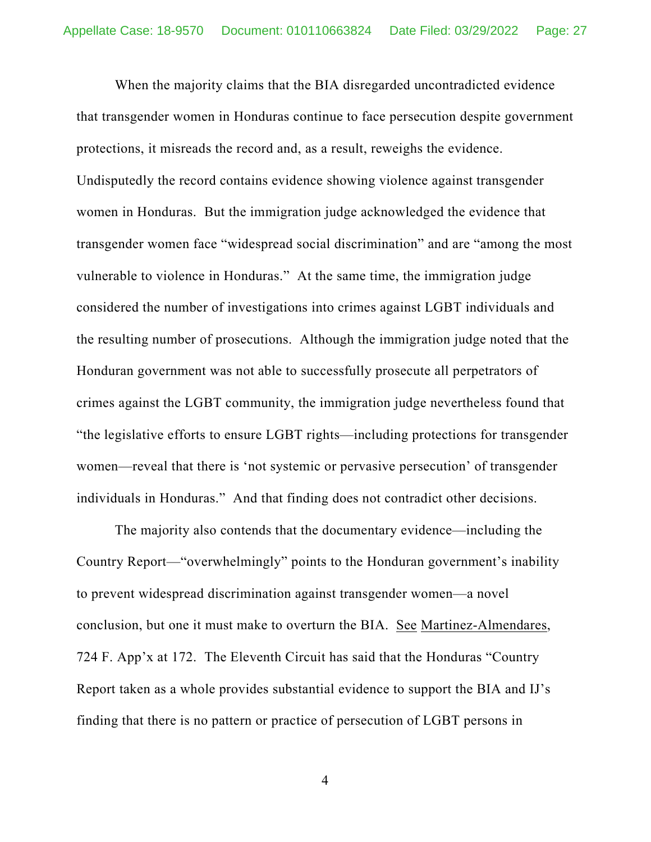When the majority claims that the BIA disregarded uncontradicted evidence that transgender women in Honduras continue to face persecution despite government protections, it misreads the record and, as a result, reweighs the evidence. Undisputedly the record contains evidence showing violence against transgender women in Honduras. But the immigration judge acknowledged the evidence that transgender women face "widespread social discrimination" and are "among the most vulnerable to violence in Honduras." At the same time, the immigration judge considered the number of investigations into crimes against LGBT individuals and the resulting number of prosecutions. Although the immigration judge noted that the Honduran government was not able to successfully prosecute all perpetrators of crimes against the LGBT community, the immigration judge nevertheless found that "the legislative efforts to ensure LGBT rights—including protections for transgender women—reveal that there is 'not systemic or pervasive persecution' of transgender individuals in Honduras." And that finding does not contradict other decisions.

The majority also contends that the documentary evidence—including the Country Report—"overwhelmingly" points to the Honduran government's inability to prevent widespread discrimination against transgender women—a novel conclusion, but one it must make to overturn the BIA. See Martinez-Almendares, 724 F. App'x at 172. The Eleventh Circuit has said that the Honduras "Country Report taken as a whole provides substantial evidence to support the BIA and IJ's finding that there is no pattern or practice of persecution of LGBT persons in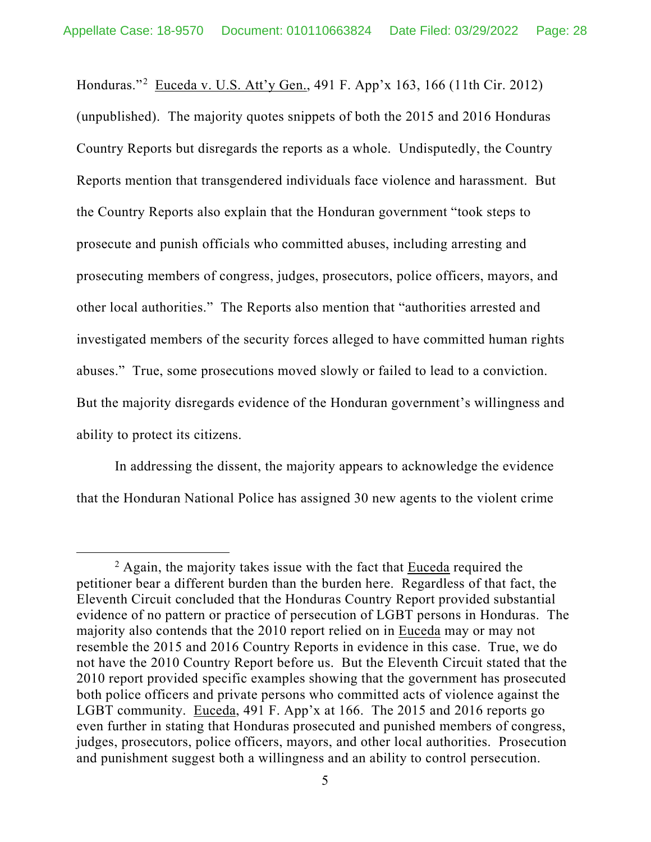Honduras."<sup>[2](#page-27-0)</sup> Euceda v. U.S. Att'y Gen., 491 F. App'x 163, 166 (11th Cir. 2012) (unpublished). The majority quotes snippets of both the 2015 and 2016 Honduras Country Reports but disregards the reports as a whole. Undisputedly, the Country Reports mention that transgendered individuals face violence and harassment. But the Country Reports also explain that the Honduran government "took steps to prosecute and punish officials who committed abuses, including arresting and prosecuting members of congress, judges, prosecutors, police officers, mayors, and other local authorities." The Reports also mention that "authorities arrested and investigated members of the security forces alleged to have committed human rights abuses." True, some prosecutions moved slowly or failed to lead to a conviction. But the majority disregards evidence of the Honduran government's willingness and ability to protect its citizens.

In addressing the dissent, the majority appears to acknowledge the evidence that the Honduran National Police has assigned 30 new agents to the violent crime

<span id="page-27-0"></span> $2$  Again, the majority takes issue with the fact that **Euceda** required the petitioner bear a different burden than the burden here. Regardless of that fact, the Eleventh Circuit concluded that the Honduras Country Report provided substantial evidence of no pattern or practice of persecution of LGBT persons in Honduras. The majority also contends that the 2010 report relied on in Euceda may or may not resemble the 2015 and 2016 Country Reports in evidence in this case. True, we do not have the 2010 Country Report before us. But the Eleventh Circuit stated that the 2010 report provided specific examples showing that the government has prosecuted both police officers and private persons who committed acts of violence against the LGBT community. Euceda, 491 F. App'x at 166. The 2015 and 2016 reports go even further in stating that Honduras prosecuted and punished members of congress, judges, prosecutors, police officers, mayors, and other local authorities. Prosecution and punishment suggest both a willingness and an ability to control persecution.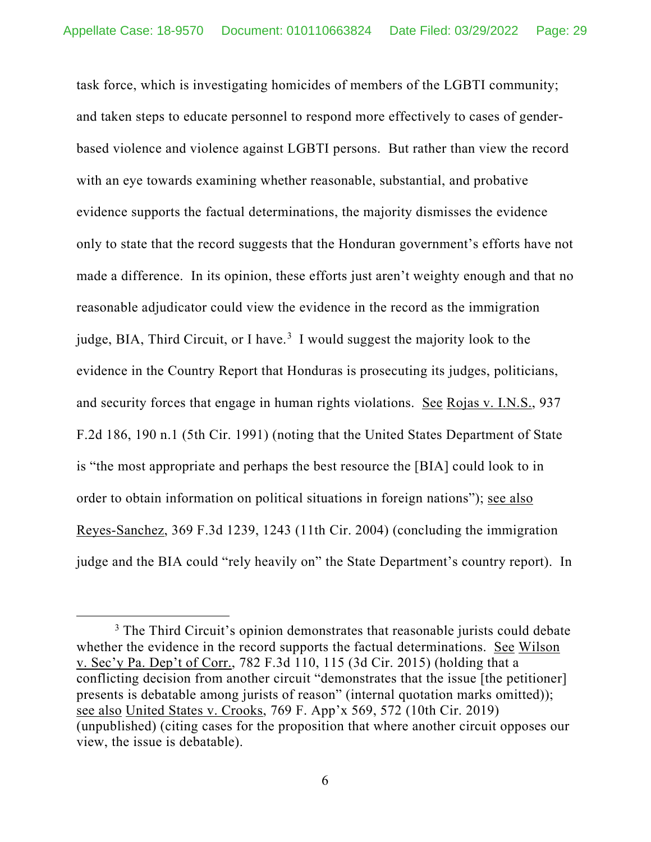task force, which is investigating homicides of members of the LGBTI community; and taken steps to educate personnel to respond more effectively to cases of genderbased violence and violence against LGBTI persons. But rather than view the record with an eye towards examining whether reasonable, substantial, and probative evidence supports the factual determinations, the majority dismisses the evidence only to state that the record suggests that the Honduran government's efforts have not made a difference. In its opinion, these efforts just aren't weighty enough and that no reasonable adjudicator could view the evidence in the record as the immigration judge, BIA, Third Circuit, or I have.<sup>[3](#page-28-0)</sup> I would suggest the majority look to the evidence in the Country Report that Honduras is prosecuting its judges, politicians, and security forces that engage in human rights violations. See Rojas v. I.N.S., 937 F.2d 186, 190 n.1 (5th Cir. 1991) (noting that the United States Department of State is "the most appropriate and perhaps the best resource the [BIA] could look to in order to obtain information on political situations in foreign nations"); see also Reyes-Sanchez, 369 F.3d 1239, 1243 (11th Cir. 2004) (concluding the immigration judge and the BIA could "rely heavily on" the State Department's country report). In

<span id="page-28-0"></span> $3$  The Third Circuit's opinion demonstrates that reasonable jurists could debate whether the evidence in the record supports the factual determinations. See Wilson v. Sec'y Pa. Dep't of Corr., 782 F.3d 110, 115 (3d Cir. 2015) (holding that a conflicting decision from another circuit "demonstrates that the issue [the petitioner] presents is debatable among jurists of reason" (internal quotation marks omitted)); see also United States v. Crooks, 769 F. App'x 569, 572 (10th Cir. 2019) (unpublished) (citing cases for the proposition that where another circuit opposes our view, the issue is debatable).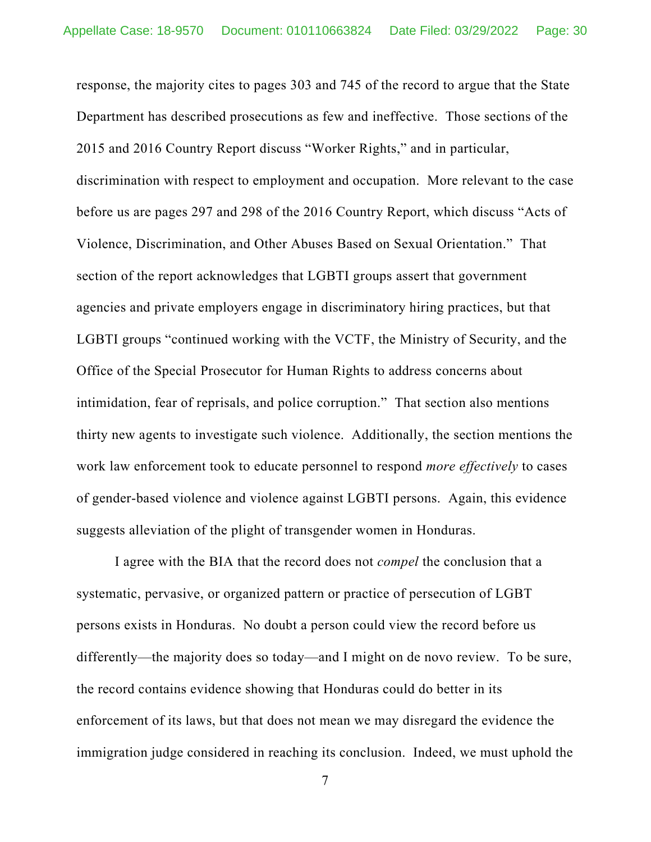response, the majority cites to pages 303 and 745 of the record to argue that the State Department has described prosecutions as few and ineffective. Those sections of the 2015 and 2016 Country Report discuss "Worker Rights," and in particular, discrimination with respect to employment and occupation. More relevant to the case before us are pages 297 and 298 of the 2016 Country Report, which discuss "Acts of Violence, Discrimination, and Other Abuses Based on Sexual Orientation." That section of the report acknowledges that LGBTI groups assert that government agencies and private employers engage in discriminatory hiring practices, but that LGBTI groups "continued working with the VCTF, the Ministry of Security, and the Office of the Special Prosecutor for Human Rights to address concerns about intimidation, fear of reprisals, and police corruption." That section also mentions thirty new agents to investigate such violence. Additionally, the section mentions the work law enforcement took to educate personnel to respond *more effectively* to cases of gender-based violence and violence against LGBTI persons. Again, this evidence suggests alleviation of the plight of transgender women in Honduras.

I agree with the BIA that the record does not *compel* the conclusion that a systematic, pervasive, or organized pattern or practice of persecution of LGBT persons exists in Honduras. No doubt a person could view the record before us differently—the majority does so today—and I might on de novo review. To be sure, the record contains evidence showing that Honduras could do better in its enforcement of its laws, but that does not mean we may disregard the evidence the immigration judge considered in reaching its conclusion. Indeed, we must uphold the